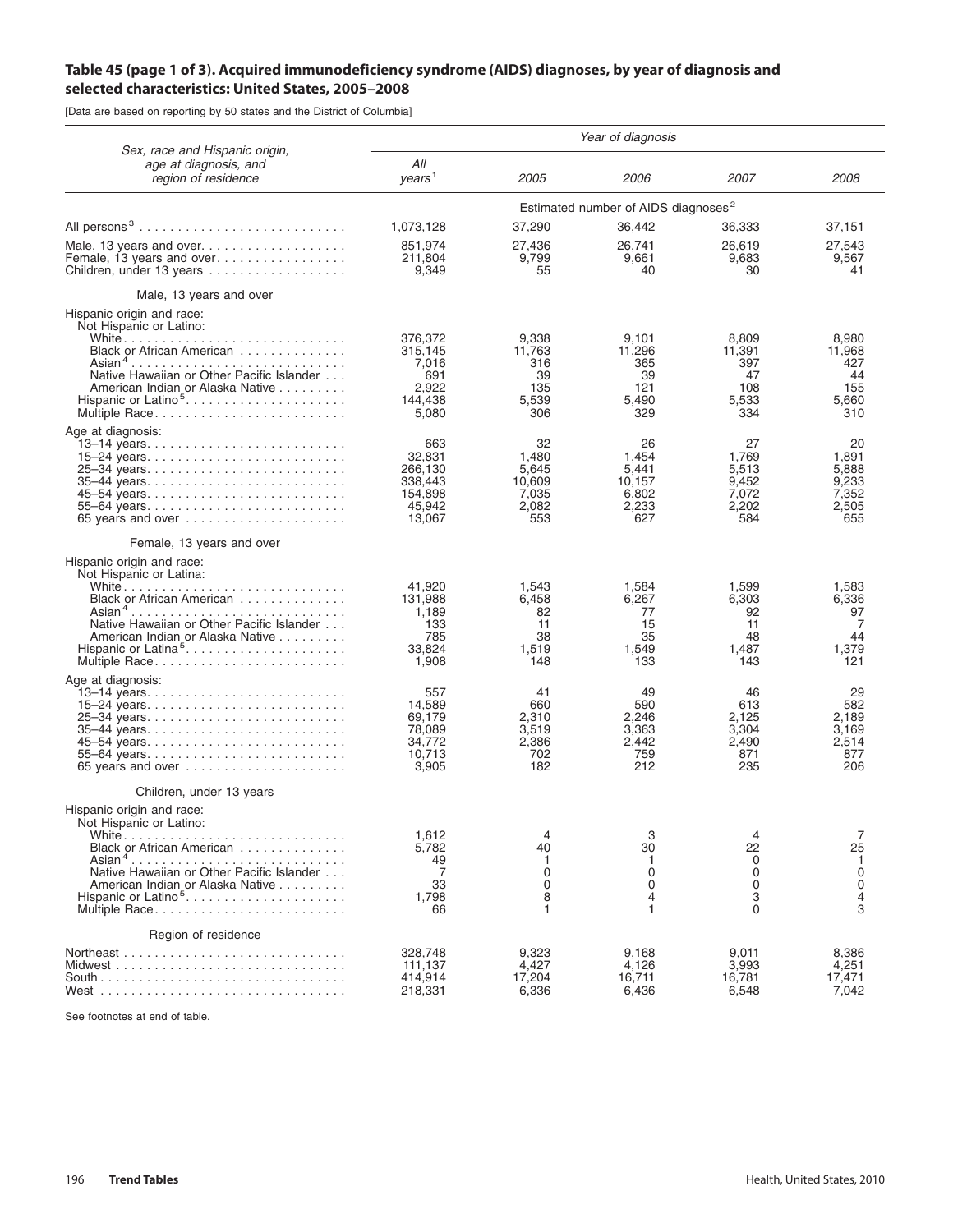## **Table 45 (page 1 of 3). Acquired immunodeficiency syndrome (AIDS) diagnoses, by year of diagnosis and selected characteristics: United States, 2005–2008**

[Data are based on reporting by 50 states and the District of Columbia]

|                                                                                | Year of diagnosis                               |                       |                       |                       |                       |  |  |
|--------------------------------------------------------------------------------|-------------------------------------------------|-----------------------|-----------------------|-----------------------|-----------------------|--|--|
| Sex, race and Hispanic origin,<br>age at diagnosis, and<br>region of residence | All<br>years <sup>1</sup>                       | 2005                  | 2006                  | 2007                  | <i>2008</i>           |  |  |
|                                                                                | Estimated number of AIDS diagnoses <sup>2</sup> |                       |                       |                       |                       |  |  |
| All persons <sup>3</sup>                                                       | 1,073,128                                       | 37,290                | 36,442                | 36,333                | 37,151                |  |  |
| Children, under 13 years                                                       | 851,974<br>211,804<br>9,349                     | 27,436<br>9,799<br>55 | 26,741<br>9,661<br>40 | 26,619<br>9,683<br>30 | 27,543<br>9,567<br>41 |  |  |
| Male, 13 years and over                                                        |                                                 |                       |                       |                       |                       |  |  |
| Hispanic origin and race:<br>Not Hispanic or Latino:                           |                                                 |                       |                       |                       |                       |  |  |
| Black or African American                                                      | 376,372<br>315,145                              | 9,338<br>11,763       | 9,101<br>11,296       | 8,809<br>11,391       | 8,980<br>11,968       |  |  |
| Native Hawaiian or Other Pacific Islander                                      | 7,016<br>691                                    | 316<br>39             | 365<br>39             | 397<br>47             | 427<br>44             |  |  |
| American Indian or Alaska Native                                               | 2,922                                           | 135                   | 121                   | 108                   | 155                   |  |  |
| Hispanic or Latino <sup>5</sup><br>Multiple Race                               | 144,438<br>5,080                                | 5,539<br>306          | 5.490<br>329          | 5,533<br>334          | 5.660<br>310          |  |  |
| Age at diagnosis:                                                              |                                                 |                       |                       |                       |                       |  |  |
| 15–24 years                                                                    | 663<br>32,831                                   | 32<br>1,480           | 26<br>1.454           | 27<br>1,769           | 20<br>1,891           |  |  |
|                                                                                | 266,130<br>338,443                              | 5,645<br>10,609       | 5,441<br>10,157       | 5,513<br>9,452        | 5,888<br>9,233        |  |  |
|                                                                                | 154,898                                         | 7,035                 | 6,802                 | 7,072                 | 7,352                 |  |  |
| 65 years and over $\ldots \ldots \ldots \ldots \ldots \ldots$                  | 45,942<br>13,067                                | 2,082<br>553          | 2,233<br>627          | 2,202<br>584          | 2,505<br>655          |  |  |
| Female, 13 years and over                                                      |                                                 |                       |                       |                       |                       |  |  |
| Hispanic origin and race:                                                      |                                                 |                       |                       |                       |                       |  |  |
| Not Hispanic or Latina:                                                        | 41,920                                          | 1,543                 | 1,584                 | 1,599                 | 1,583                 |  |  |
| Black or African American<br>Asian <sup>4</sup>                                | 131,988<br>1,189                                | 6,458<br>82           | 6,267<br>77           | 6,303<br>92           | 6,336<br>97           |  |  |
| Native Hawaiian or Other Pacific Islander                                      | 133                                             | 11                    | 15                    | 11                    | 7                     |  |  |
| American Indian or Alaska Native<br>Hispanic or Latina <sup>5</sup>            | 785<br>33,824                                   | 38<br>1,519           | 35<br>1,549           | 48<br>1,487           | 44<br>1,379           |  |  |
|                                                                                | 1,908                                           | 148                   | 133                   | 143                   | 121                   |  |  |
| Age at diagnosis:                                                              | 557                                             | 41                    | 49                    | 46                    | 29                    |  |  |
|                                                                                | 14,589<br>69,179                                | 660<br>2,310          | 590<br>2,246          | 613<br>2,125          | 582<br>2,189          |  |  |
| 35-44 years                                                                    | 78,089                                          | 3,519                 | 3,363                 | 3,304                 | 3,169                 |  |  |
|                                                                                | 34,772<br>10,713                                | 2,386<br>702          | 2.442<br>759          | 2,490<br>871          | 2,514<br>877          |  |  |
| 65 years and over $\ldots \ldots \ldots \ldots \ldots \ldots$                  | 3,905                                           | 182                   | 212                   | 235                   | 206                   |  |  |
| Children, under 13 years                                                       |                                                 |                       |                       |                       |                       |  |  |
| Hispanic origin and race:<br>Not Hispanic or Latino:                           |                                                 |                       |                       |                       |                       |  |  |
| Black or African American                                                      | 1,612<br>5,782                                  | 4<br>40               | 3<br>30               | 4<br>22               | 7<br>25               |  |  |
| Native Hawaiian or Other Pacific Islander                                      | 49<br>7                                         | 1<br>$\mathbf 0$      | -1<br>$\mathbf 0$     | 0<br>$\Omega$         | $\mathbf{1}$<br>0     |  |  |
| American Indian or Alaska Native                                               | 33                                              | $\Omega$              | $\Omega$              | $\Omega$              | $\mathbf 0$           |  |  |
| Hispanic or Latino <sup>5</sup><br>Multiple Race                               | 1,798<br>66                                     | 8<br>1                | 4<br>1                | 3<br>0                | 4<br>3                |  |  |
| Region of residence                                                            |                                                 |                       |                       |                       |                       |  |  |
| Northeast                                                                      | 328.748                                         | 9,323                 | 9,168                 | 9,011                 | 8,386                 |  |  |
|                                                                                | 111,137<br>414,914                              | 4,427<br>17,204       | 4,126<br>16,711       | 3,993<br>16,781       | 4,251<br>17,471       |  |  |
|                                                                                | 218,331                                         | 6,336                 | 6,436                 | 6,548                 | 7,042                 |  |  |

See footnotes at end of table.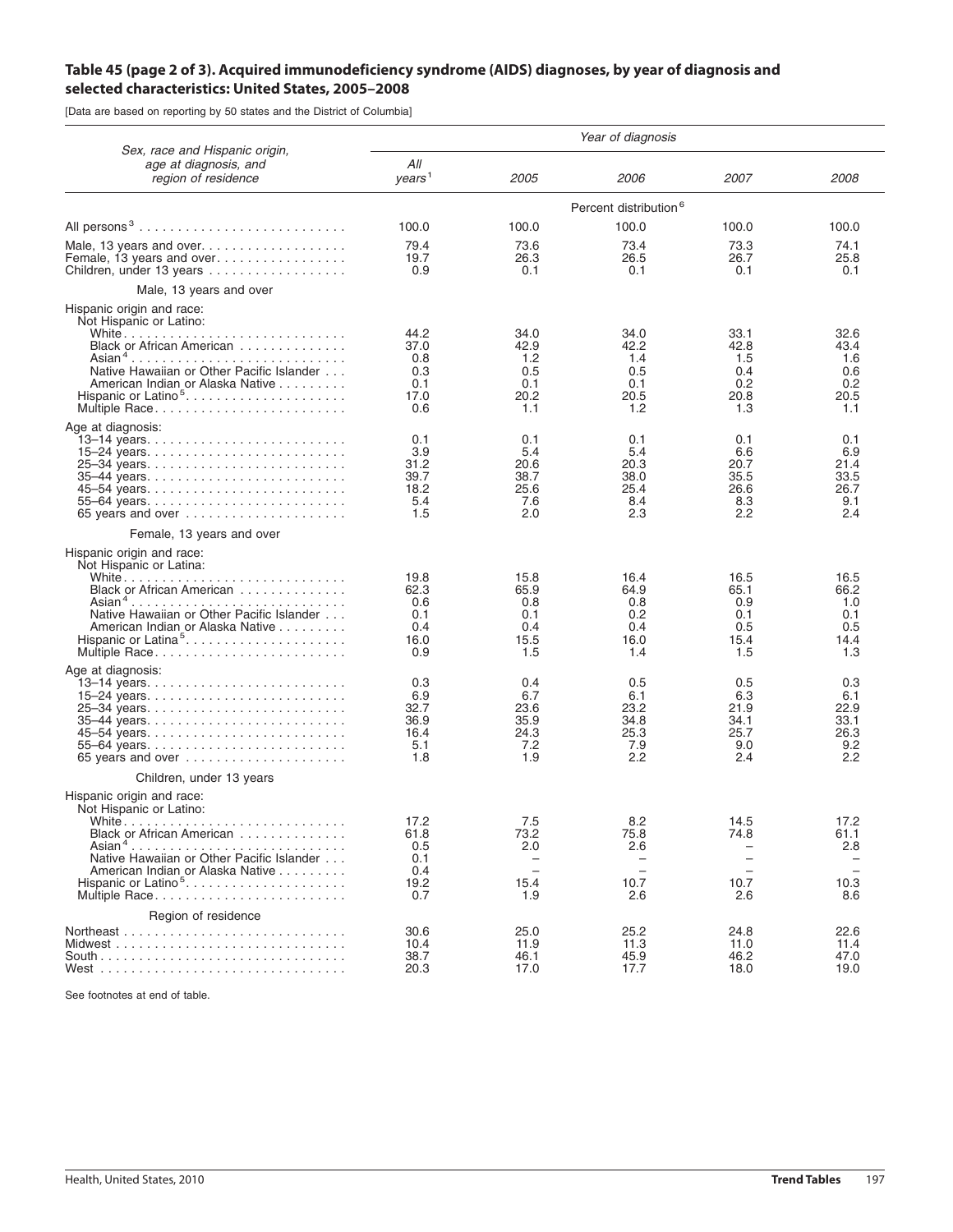## **Table 45 (page 2 of 3). Acquired immunodeficiency syndrome (AIDS) diagnoses, by year of diagnosis and selected characteristics: United States, 2005–2008**

[Data are based on reporting by 50 states and the District of Columbia]

| Sex, race and Hispanic origin,<br>age at diagnosis, and<br>region of residence                                                                                                                                              | Year of diagnosis                                |                                                                                           |                                                     |                                                  |                                                                |  |  |
|-----------------------------------------------------------------------------------------------------------------------------------------------------------------------------------------------------------------------------|--------------------------------------------------|-------------------------------------------------------------------------------------------|-----------------------------------------------------|--------------------------------------------------|----------------------------------------------------------------|--|--|
|                                                                                                                                                                                                                             | All<br>years <sup>1</sup>                        | 2005                                                                                      | 2006                                                | <i>2007</i>                                      | <i>2008</i>                                                    |  |  |
|                                                                                                                                                                                                                             | Percent distribution <sup>6</sup>                |                                                                                           |                                                     |                                                  |                                                                |  |  |
| All persons <sup>3</sup>                                                                                                                                                                                                    | 100.0                                            | 100.0                                                                                     | 100.0                                               | 100.0                                            | 100.0                                                          |  |  |
| Children, under 13 years $\ldots \ldots \ldots \ldots \ldots$                                                                                                                                                               | 79.4<br>19.7<br>0.9                              | 73.6<br>26.3<br>0.1                                                                       | 73.4<br>26.5<br>0.1                                 | 73.3<br>26.7<br>0.1                              | 74.1<br>25.8<br>0.1                                            |  |  |
| Male, 13 years and over                                                                                                                                                                                                     |                                                  |                                                                                           |                                                     |                                                  |                                                                |  |  |
| Hispanic origin and race:<br>Not Hispanic or Latino:<br>Black or African American<br>Native Hawaiian or Other Pacific Islander<br>American Indian or Alaska Native                                                          | 44.2<br>37.0<br>0.8<br>0.3<br>0.1                | 34.0<br>42.9<br>1.2<br>0.5<br>0.1                                                         | 34.0<br>42.2<br>1.4<br>0.5<br>0.1                   | 33.1<br>42.8<br>1.5<br>0.4<br>0.2                | 32.6<br>43.4<br>1.6<br>0.6<br>0.2                              |  |  |
| Hispanic or Latino <sup>5</sup><br>Multiple Race                                                                                                                                                                            | 17.0<br>0.6                                      | 20.2<br>1.1                                                                               | 20.5<br>1.2                                         | 20.8<br>1.3                                      | 20.5<br>1.1                                                    |  |  |
| Age at diagnosis:<br>15–24 years<br>55-64 years<br>65 years and over $\ldots \ldots \ldots \ldots \ldots$                                                                                                                   | 0.1<br>3.9<br>31.2<br>39.7<br>18.2<br>5.4<br>1.5 | 0.1<br>5.4<br>20.6<br>38.7<br>25.6<br>7.6<br>2.0                                          | 0.1<br>5.4<br>20.3<br>38.0<br>25.4<br>8.4<br>2.3    | 0.1<br>6.6<br>20.7<br>35.5<br>26.6<br>8.3<br>2.2 | 0.1<br>6.9<br>21.4<br>33.5<br>26.7<br>9.1<br>2.4               |  |  |
| Female, 13 years and over                                                                                                                                                                                                   |                                                  |                                                                                           |                                                     |                                                  |                                                                |  |  |
| Hispanic origin and race:<br>Not Hispanic or Latina:<br>Black or African American<br>Asian <sup>4</sup><br>Native Hawaiian or Other Pacific Islander<br>American Indian or Alaska Native<br>Hispanic or Latina <sup>5</sup> | 19.8<br>62.3<br>0.6<br>0.1<br>0.4<br>16.0<br>0.9 | 15.8<br>65.9<br>0.8<br>0.1<br>0.4<br>15.5<br>1.5                                          | 16.4<br>64.9<br>0.8<br>0.2<br>0.4<br>16.0<br>1.4    | 16.5<br>65.1<br>0.9<br>0.1<br>0.5<br>15.4<br>1.5 | 16.5<br>66.2<br>1.0<br>0.1<br>0.5<br>14.4<br>1.3               |  |  |
| Age at diagnosis:<br>35–44 years<br>55-64 years<br>65 years and over $\ldots \ldots \ldots \ldots \ldots$                                                                                                                   | 0.3<br>6.9<br>32.7<br>36.9<br>16.4<br>5.1<br>1.8 | 0.4<br>6.7<br>23.6<br>35.9<br>24.3<br>7.2<br>1.9                                          | 0.5<br>6.1<br>23.2<br>34.8<br>25.3<br>7.9<br>2.2    | 0.5<br>6.3<br>21.9<br>34.1<br>25.7<br>9.0<br>2.4 | 0.3<br>6.1<br>22.9<br>33.1<br>26.3<br>9.2<br>2.2               |  |  |
| Children, under 13 years                                                                                                                                                                                                    |                                                  |                                                                                           |                                                     |                                                  |                                                                |  |  |
| Hispanic origin and race:<br>Not Hispanic or Latino:<br>White<br>Black or African American<br>Asian <sup>4</sup><br>Native Hawaiian or Other Pacific Islander<br>American Indian or Alaska Native<br>Multiple Race          | 17.2<br>61.8<br>0.5<br>0.1<br>0.4<br>19.2<br>0.7 | 7.5<br>73.2<br>2.0<br>$\overline{\phantom{0}}$<br>$\overline{\phantom{0}}$<br>15.4<br>1.9 | 8.2<br>75.8<br>2.6<br>$\overline{a}$<br>10.7<br>2.6 | 14.5<br>74.8<br>$\equiv$<br>10.7<br>2.6          | 17.2<br>61.1<br>2.8<br>$\overline{\phantom{m}}$<br>10.3<br>8.6 |  |  |
| Region of residence                                                                                                                                                                                                         | 30.6                                             | 25.0                                                                                      | 25.2                                                | 24.8                                             | 22.6                                                           |  |  |
|                                                                                                                                                                                                                             | 10.4<br>38.7<br>20.3                             | 11.9<br>46.1<br>17.0                                                                      | 11.3<br>45.9<br>17.7                                | 11.0<br>46.2<br>18.0                             | 11.4<br>47.0<br>19.0                                           |  |  |

See footnotes at end of table.